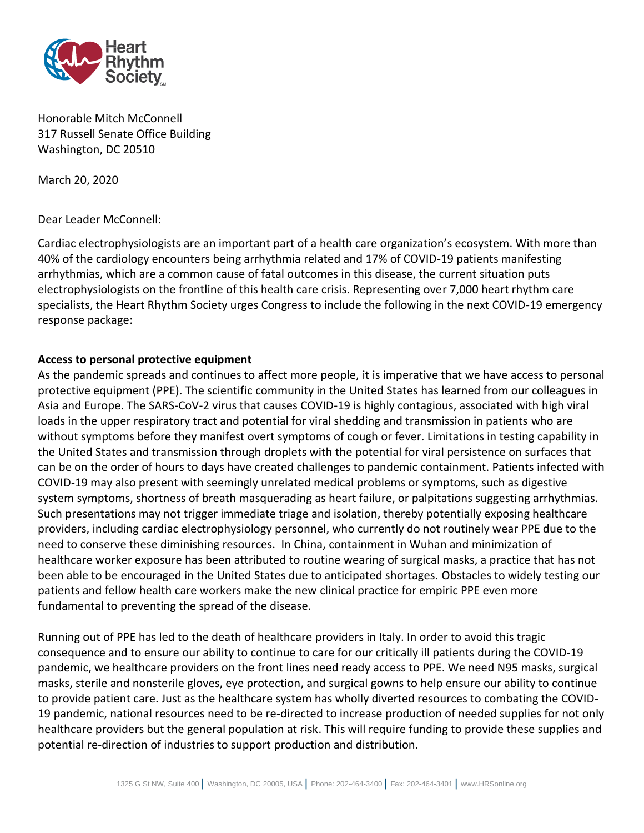

Honorable Mitch McConnell 317 Russell Senate Office Building Washington, DC 20510

March 20, 2020

Dear Leader McConnell:

Cardiac electrophysiologists are an important part of a health care organization's ecosystem. With more than 40% of the cardiology encounters being arrhythmia related and 17% of COVID-19 patients manifesting arrhythmias, which are a common cause of fatal outcomes in this disease, the current situation puts electrophysiologists on the frontline of this health care crisis. Representing over 7,000 heart rhythm care specialists, the Heart Rhythm Society urges Congress to include the following in the next COVID-19 emergency response package:

## **Access to personal protective equipment**

As the pandemic spreads and continues to affect more people, it is imperative that we have access to personal protective equipment (PPE). The scientific community in the United States has learned from our colleagues in Asia and Europe. The SARS-CoV-2 virus that causes COVID-19 is highly contagious, associated with high viral loads in the upper respiratory tract and potential for viral shedding and transmission in patients who are without symptoms before they manifest overt symptoms of cough or fever. Limitations in testing capability in the United States and transmission through droplets with the potential for viral persistence on surfaces that can be on the order of hours to days have created challenges to pandemic containment. Patients infected with COVID-19 may also present with seemingly unrelated medical problems or symptoms, such as digestive system symptoms, shortness of breath masquerading as heart failure, or palpitations suggesting arrhythmias. Such presentations may not trigger immediate triage and isolation, thereby potentially exposing healthcare providers, including cardiac electrophysiology personnel, who currently do not routinely wear PPE due to the need to conserve these diminishing resources. In China, containment in Wuhan and minimization of healthcare worker exposure has been attributed to routine wearing of surgical masks, a practice that has not been able to be encouraged in the United States due to anticipated shortages. Obstacles to widely testing our patients and fellow health care workers make the new clinical practice for empiric PPE even more fundamental to preventing the spread of the disease.

Running out of PPE has led to the death of healthcare providers in Italy. In order to avoid this tragic consequence and to ensure our ability to continue to care for our critically ill patients during the COVID-19 pandemic, we healthcare providers on the front lines need ready access to PPE. We need N95 masks, surgical masks, sterile and nonsterile gloves, eye protection, and surgical gowns to help ensure our ability to continue to provide patient care. Just as the healthcare system has wholly diverted resources to combating the COVID-19 pandemic, national resources need to be re-directed to increase production of needed supplies for not only healthcare providers but the general population at risk. This will require funding to provide these supplies and potential re-direction of industries to support production and distribution.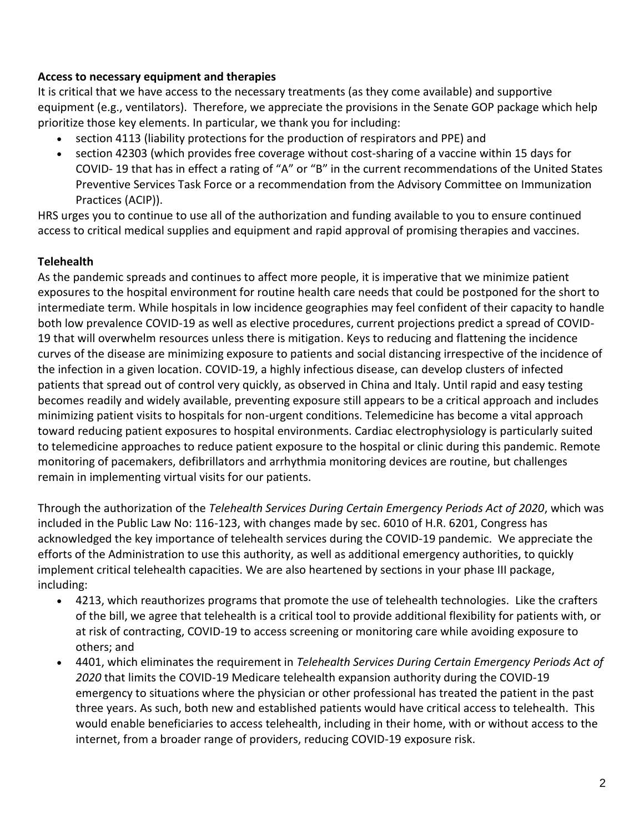## **Access to necessary equipment and therapies**

It is critical that we have access to the necessary treatments (as they come available) and supportive equipment (e.g., ventilators). Therefore, we appreciate the provisions in the Senate GOP package which help prioritize those key elements. In particular, we thank you for including:

- section 4113 (liability protections for the production of respirators and PPE) and
- section 42303 (which provides free coverage without cost-sharing of a vaccine within 15 days for COVID- 19 that has in effect a rating of "A" or "B" in the current recommendations of the United States Preventive Services Task Force or a recommendation from the Advisory Committee on Immunization Practices (ACIP)).

HRS urges you to continue to use all of the authorization and funding available to you to ensure continued access to critical medical supplies and equipment and rapid approval of promising therapies and vaccines.

## **Telehealth**

As the pandemic spreads and continues to affect more people, it is imperative that we minimize patient exposures to the hospital environment for routine health care needs that could be postponed for the short to intermediate term. While hospitals in low incidence geographies may feel confident of their capacity to handle both low prevalence COVID-19 as well as elective procedures, current projections predict a spread of COVID-19 that will overwhelm resources unless there is mitigation. Keys to reducing and flattening the incidence curves of the disease are minimizing exposure to patients and social distancing irrespective of the incidence of the infection in a given location. COVID-19, a highly infectious disease, can develop clusters of infected patients that spread out of control very quickly, as observed in China and Italy. Until rapid and easy testing becomes readily and widely available, preventing exposure still appears to be a critical approach and includes minimizing patient visits to hospitals for non-urgent conditions. Telemedicine has become a vital approach toward reducing patient exposures to hospital environments. Cardiac electrophysiology is particularly suited to telemedicine approaches to reduce patient exposure to the hospital or clinic during this pandemic. Remote monitoring of pacemakers, defibrillators and arrhythmia monitoring devices are routine, but challenges remain in implementing virtual visits for our patients.

Through the authorization of the *Telehealth Services During Certain Emergency Periods Act of 2020*, which was included in the Public Law No: 116-123, with changes made by sec. 6010 of H.R. 6201, Congress has acknowledged the key importance of telehealth services during the COVID-19 pandemic. We appreciate the efforts of the Administration to use this authority, as well as additional emergency authorities, to quickly implement critical telehealth capacities. We are also heartened by sections in your phase III package, including:

- 4213, which reauthorizes programs that promote the use of telehealth technologies. Like the crafters of the bill, we agree that telehealth is a critical tool to provide additional flexibility for patients with, or at risk of contracting, COVID-19 to access screening or monitoring care while avoiding exposure to others; and
- 4401, which eliminates the requirement in *Telehealth Services During Certain Emergency Periods Act of 2020* that limits the COVID-19 Medicare telehealth expansion authority during the COVID-19 emergency to situations where the physician or other professional has treated the patient in the past three years. As such, both new and established patients would have critical access to telehealth. This would enable beneficiaries to access telehealth, including in their home, with or without access to the internet, from a broader range of providers, reducing COVID-19 exposure risk.